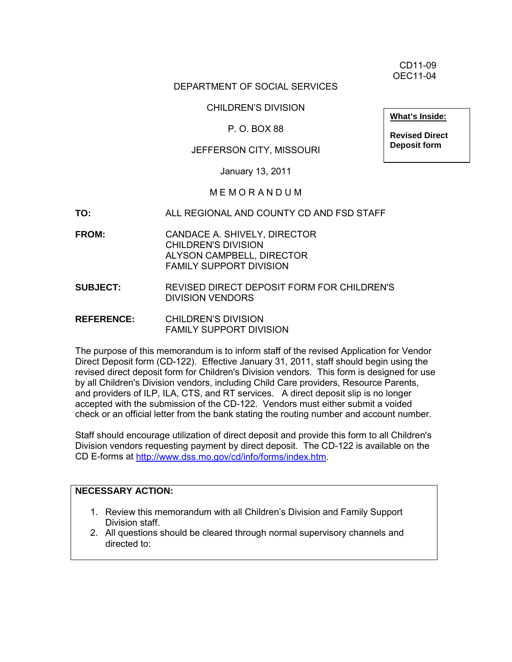CD11-09 OEC11-04

## DEPARTMENT OF SOCIAL SERVICES

#### CHILDREN'S DIVISION

## P. O. BOX 88

## JEFFERSON CITY, MISSOURI

January 13, 2011

## M E M O R A N D U M

- **TO:** ALL REGIONAL AND COUNTY CD AND FSD STAFF
- **FROM:** CANDACE A. SHIVELY, DIRECTOR CHILDREN'S DIVISION ALYSON CAMPBELL, DIRECTOR FAMILY SUPPORT DIVISION
- **SUBJECT:** REVISED DIRECT DEPOSIT FORM FOR CHILDREN'S DIVISION VENDORS
- **REFERENCE:** CHILDREN'S DIVISION FAMILY SUPPORT DIVISION

The purpose of this memorandum is to inform staff of the revised Application for Vendor Direct Deposit form (CD-122). Effective January 31, 2011, staff should begin using the revised direct deposit form for Children's Division vendors. This form is designed for use by all Children's Division vendors, including Child Care providers, Resource Parents, and providers of ILP, ILA, CTS, and RT services. A direct deposit slip is no longer accepted with the submission of the CD-122. Vendors must either submit a voided check or an official letter from the bank stating the routing number and account number.

Staff should encourage utilization of direct deposit and provide this form to all Children's Division vendors requesting payment by direct deposit. The CD-122 is available on the CD E-forms at [http://www.dss.mo.gov/cd/info/forms/index.htm.](http://www.dss.mo.gov/cd/info/forms/index.htm)

#### **NECESSARY ACTION:**

- 1. Review this memorandum with all Children's Division and Family Support Division staff.
- 2. All questions should be cleared through normal supervisory channels and directed to:

**What's Inside:**

**Revised Direct Deposit form**